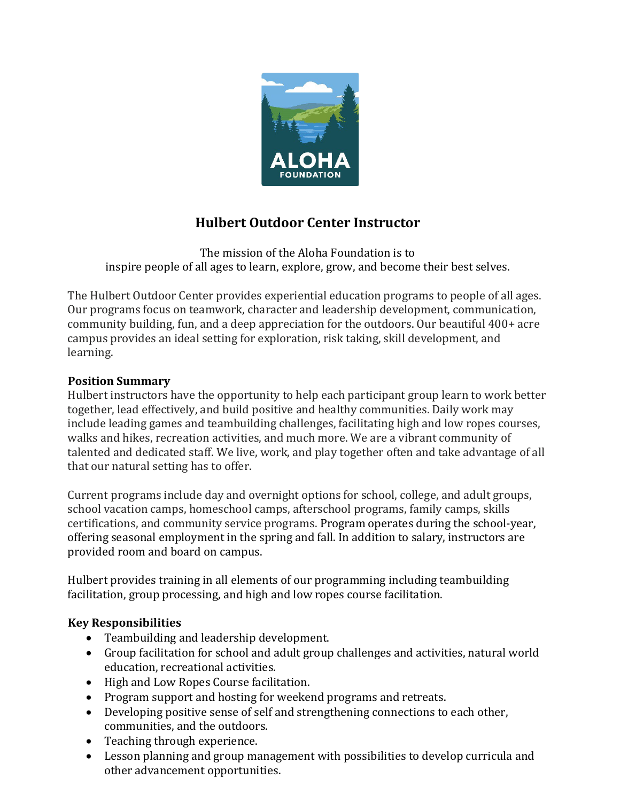

# **Hulbert Outdoor Center Instructor**

The mission of the Aloha Foundation is to inspire people of all ages to learn, explore, grow, and become their best selves.

The Hulbert Outdoor Center provides experiential education programs to people of all ages. Our programs focus on teamwork, character and leadership development, communication, community building, fun, and a deep appreciation for the outdoors. Our beautiful 400+ acre campus provides an ideal setting for exploration, risk taking, skill development, and learning.

## **Position Summary**

Hulbert instructors have the opportunity to help each participant group learn to work better together, lead effectively, and build positive and healthy communities. Daily work may include leading games and teambuilding challenges, facilitating high and low ropes courses, walks and hikes, recreation activities, and much more. We are a vibrant community of talented and dedicated staff. We live, work, and play together often and take advantage of all that our natural setting has to offer.

Current programs include day and overnight options for school, college, and adult groups, school vacation camps, homeschool camps, afterschool programs, family camps, skills certifications, and community service programs. Program operates during the school-year, offering seasonal employment in the spring and fall. In addition to salary, instructors are provided room and board on campus.

Hulbert provides training in all elements of our programming including teambuilding facilitation, group processing, and high and low ropes course facilitation.

## **Key Responsibilities**

- Teambuilding and leadership development.
- Group facilitation for school and adult group challenges and activities, natural world education, recreational activities.
- High and Low Ropes Course facilitation.
- Program support and hosting for weekend programs and retreats.
- Developing positive sense of self and strengthening connections to each other, communities, and the outdoors.
- Teaching through experience.
- Lesson planning and group management with possibilities to develop curricula and other advancement opportunities.